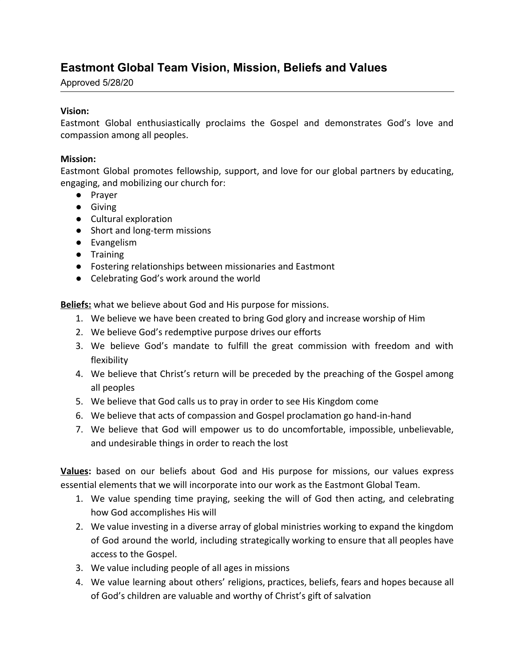## **Eastmont Global Team Vision, Mission, Beliefs and Values**

Approved 5/28/20

## **Vision:**

Eastmont Global enthusiastically proclaims the Gospel and demonstrates God's love and compassion among all peoples.

## **Mission:**

Eastmont Global promotes fellowship, support, and love for our global partners by educating, engaging, and mobilizing our church for:

- Prayer
- Giving
- Cultural exploration
- Short and long-term missions
- Evangelism
- Training
- Fostering relationships between missionaries and Eastmont
- Celebrating God's work around the world

**Beliefs:** what we believe about God and His purpose for missions.

- 1. We believe we have been created to bring God glory and increase worship of Him
- 2. We believe God's redemptive purpose drives our efforts
- 3. We believe God's mandate to fulfill the great commission with freedom and with flexibility
- 4. We believe that Christ's return will be preceded by the preaching of the Gospel among all peoples
- 5. We believe that God calls us to pray in order to see His Kingdom come
- 6. We believe that acts of compassion and Gospel proclamation go hand-in-hand
- 7. We believe that God will empower us to do uncomfortable, impossible, unbelievable, and undesirable things in order to reach the lost

**Values:** based on our beliefs about God and His purpose for missions, our values express essential elements that we will incorporate into our work as the Eastmont Global Team.

- 1. We value spending time praying, seeking the will of God then acting, and celebrating how God accomplishes His will
- 2. We value investing in a diverse array of global ministries working to expand the kingdom of God around the world, including strategically working to ensure that all peoples have access to the Gospel.
- 3. We value including people of all ages in missions
- 4. We value learning about others' religions, practices, beliefs, fears and hopes because all of God's children are valuable and worthy of Christ's gift of salvation